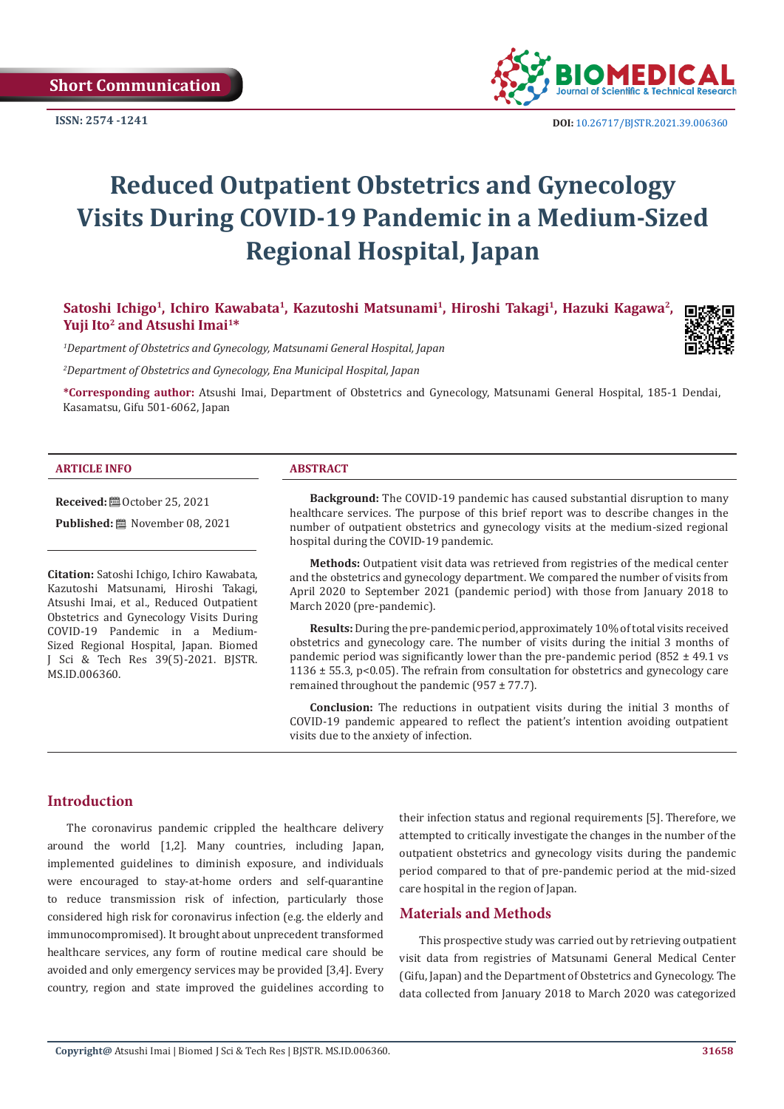**ISSN: 2574 -1241**



 **DOI:** [10.26717/BJSTR.2021.39.006360](https://dx.doi.org/10.26717/BJSTR.2021.39.006360)

# **Reduced Outpatient Obstetrics and Gynecology Visits During COVID-19 Pandemic in a Medium-Sized Regional Hospital, Japan**

Satoshi Ichigo<sup>1</sup>, Ichiro Kawabata<sup>1</sup>, Kazutoshi Matsunami<sup>1</sup>, Hiroshi Takagi<sup>1</sup>, Hazuki Kagawa<sup>2</sup>, Yuji Ito<sup>2</sup> and Atsushi Imai<sup>1\*</sup>

*1 Department of Obstetrics and Gynecology, Matsunami General Hospital, Japan*

*2 Department of Obstetrics and Gynecology, Ena Municipal Hospital, Japan*

**\*Corresponding author:** Atsushi Imai, Department of Obstetrics and Gynecology, Matsunami General Hospital, 185-1 Dendai, Kasamatsu, Gifu 501-6062, Japan

#### **ARTICLE INFO ABSTRACT**

**Received:** ■ October 25, 2021

Published: [29] November 08, 2021

**Citation:** Satoshi Ichigo, Ichiro Kawabata, Kazutoshi Matsunami, Hiroshi Takagi, Atsushi Imai, et al., Reduced Outpatient Obstetrics and Gynecology Visits During COVID-19 Pandemic in a Medium-Sized Regional Hospital, Japan. Biomed J Sci & Tech Res 39(5)-2021. BJSTR. MS.ID.006360.

**Background:** The COVID-19 pandemic has caused substantial disruption to many healthcare services. The purpose of this brief report was to describe changes in the number of outpatient obstetrics and gynecology visits at the medium-sized regional hospital during the COVID-19 pandemic.

**Methods:** Outpatient visit data was retrieved from registries of the medical center and the obstetrics and gynecology department. We compared the number of visits from April 2020 to September 2021 (pandemic period) with those from January 2018 to March 2020 (pre-pandemic).

**Results:** During the pre-pandemic period, approximately 10% of total visits received obstetrics and gynecology care. The number of visits during the initial 3 months of pandemic period was significantly lower than the pre-pandemic period  $(852 \pm 49.1 \text{ vs } 10^{-10})$  $1136 \pm 55.3$ , p<0.05). The refrain from consultation for obstetrics and gynecology care remained throughout the pandemic (957  $\pm$  77.7).

**Conclusion:** The reductions in outpatient visits during the initial 3 months of COVID-19 pandemic appeared to reflect the patient's intention avoiding outpatient visits due to the anxiety of infection.

#### **Introduction**

The coronavirus pandemic crippled the healthcare delivery around the world [1,2]. Many countries, including Japan, implemented guidelines to diminish exposure, and individuals were encouraged to stay-at-home orders and self-quarantine to reduce transmission risk of infection, particularly those considered high risk for coronavirus infection (e.g. the elderly and immunocompromised). It brought about unprecedent transformed healthcare services, any form of routine medical care should be avoided and only emergency services may be provided [3,4]. Every country, region and state improved the guidelines according to

their infection status and regional requirements [5]. Therefore, we attempted to critically investigate the changes in the number of the outpatient obstetrics and gynecology visits during the pandemic period compared to that of pre-pandemic period at the mid-sized care hospital in the region of Japan.

# **Materials and Methods**

This prospective study was carried out by retrieving outpatient visit data from registries of Matsunami General Medical Center (Gifu, Japan) and the Department of Obstetrics and Gynecology. The data collected from January 2018 to March 2020 was categorized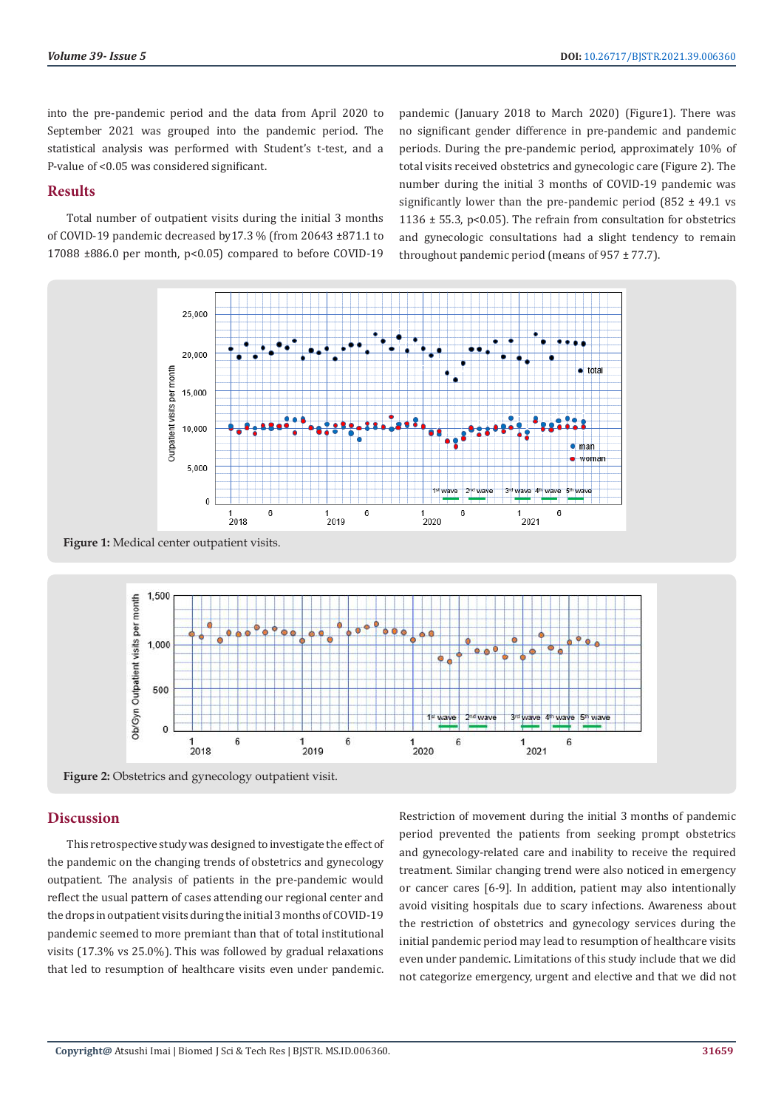into the pre-pandemic period and the data from April 2020 to September 2021 was grouped into the pandemic period. The statistical analysis was performed with Student's t-test, and a P-value of <0.05 was considered significant.

## **Results**

Total number of outpatient visits during the initial 3 months of COVID-19 pandemic decreased by17.3 % (from 20643 ±871.1 to 17088 ±886.0 per month, p<0.05) compared to before COVID-19 pandemic (January 2018 to March 2020) (Figure1). There was no significant gender difference in pre-pandemic and pandemic periods. During the pre-pandemic period, approximately 10% of total visits received obstetrics and gynecologic care (Figure 2). The number during the initial 3 months of COVID-19 pandemic was significantly lower than the pre-pandemic period  $(852 \pm 49.1 \text{ vs } 10^{-19})$ 1136  $\pm$  55.3, p<0.05). The refrain from consultation for obstetrics and gynecologic consultations had a slight tendency to remain throughout pandemic period (means of 957 ± 77.7).



**Figure 1:** Medical center outpatient visits.



**Figure 2:** Obstetrics and gynecology outpatient visit.

# **Discussion**

This retrospective study was designed to investigate the effect of the pandemic on the changing trends of obstetrics and gynecology outpatient. The analysis of patients in the pre-pandemic would reflect the usual pattern of cases attending our regional center and the drops in outpatient visits during the initial 3 months of COVID-19 pandemic seemed to more premiant than that of total institutional visits (17.3% vs 25.0%). This was followed by gradual relaxations that led to resumption of healthcare visits even under pandemic.

Restriction of movement during the initial 3 months of pandemic period prevented the patients from seeking prompt obstetrics and gynecology-related care and inability to receive the required treatment. Similar changing trend were also noticed in emergency or cancer cares [6-9]. In addition, patient may also intentionally avoid visiting hospitals due to scary infections. Awareness about the restriction of obstetrics and gynecology services during the initial pandemic period may lead to resumption of healthcare visits even under pandemic. Limitations of this study include that we did not categorize emergency, urgent and elective and that we did not